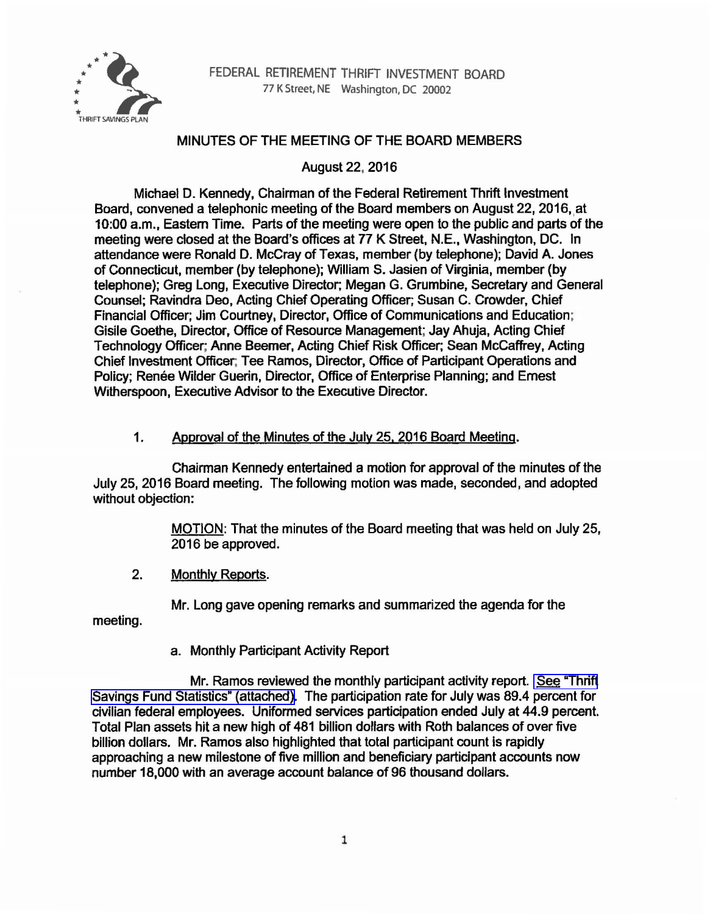

## MINUTES OF THE MEETING OF THE BOARD MEMBERS

August22. 2016

Michael D. Kennedy, Chairman of the Federal Retirement Thrift Investment Board, convened a telephonic meeting of the Board members on August 22, 2016, at 10:00 a.m., Eastern Time. Parts of the meeting were open to the public and parts of the meeting were closed at the Board's offices at 77 K Street. N.E., Washington, DC. In attendance were Ronald D. McCray of Texas, member (by telephone); David A. Jones of Connecticut, member (by telephone); William S. Jasien of Virginia, member (by telephone); Greg Long, Executive Director; Megan G. Grumbine, Secretary and General Counsel; Ravindra Deo, Acting Chief Operating Officer; Susan C. Crowder, Chief Financial Officer; Jim Courtney, Director, Office of Communications and Education; Gisile Goethe, Director, Office of Resource Management; Jay Ahuja, Acting Chief Technology Officer; Anne Beemer, Acting Chief Risk Officer; Sean Mccaffrey, Acting Chief Investment Officer; Tee Ramos, Director, Office of Participant Operations and Policy; Renée Wilder Guerin, Director, Office of Enterprise Planning; and Ernest Witherspoon, Executive Advisor to the Executive Director.

# 1. Approval of the Minutes of the July 25, 2016 Board Meeting.

Chairman Kennedy entertained a motion for approval of the minutes of the July 25, 2016 Board meeting. The following motion was made, seconded, and adopted without objection:

> MOTION: That the minutes of the Board meeting that was held on July 25, 2016 be approved.

2. Monthly Reports.

Mr. Long gave opening remarks and summarized the agenda for the

meeting.

a. Monthly Participant Activity Report

Mr. Ramos reviewed the monthly participant activity report. [See "Thrift](https://www.frtib.gov/pdf/minutes/MM-2016Aug-Att1.pdf) [Savings Fund Statistics" \(attached\).](https://www.frtib.gov/pdf/minutes/MM-2016Aug-Att1.pdf) The participation rate for July was 89.4 percent for civilian federal employees. Uniformed services participation ended July at 44.9 percent. Total Plan assets hit a new high of 481 billion dollars with Roth balances of over five billion dollars. Mr. Ramos also highlighted that total participant count is rapidly approaching a new milestone of five million and beneficiary participant accounts now number 18,000 with an average account balance of 96 thousand dollars.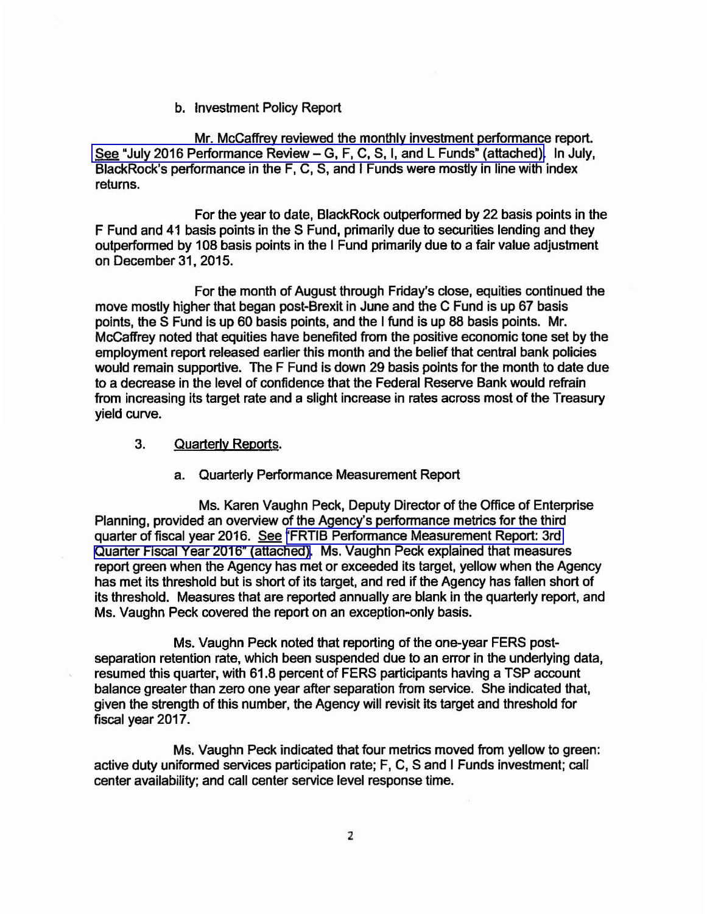### b. Investment Policy Report

Mr. Mccaffrey reviewed the monthly investment performance report. See "July 2016 Performance Review - G, F, C, S, I, and L Funds" (attached). In July, BlackRock's performance in the F, C, S, and I Funds were mostly in line with index returns.

For the year to date, BlackRock outperformed by 22 basis points in the F Fund and 41 basis points in the S Fund, primarily due to securities lending and they outperformed by 108 basis points in the I Fund primarily due to a fair value adjustment on December 31, 2015.

For the month of August through Friday's close, equities continued the move mostly higher that began post-Brexit in June and the C Fund is up 67 basis points, the S Fund is up 60 basis points, and the I fund is up 88 basis points. Mr. McCaffrey noted that equities have benefited from the positive economic tone set by the employment report released earlier this month and the belief that central bank policies would remain supportive. The F Fund is down 29 basis points for the month to date due to a decrease in the level of confidence that the Federal Reserve Bank would refrain from increasing its target rate and a slight increase in rates across most of the Treasury yield curve.

## 3. Quarterly Reports.

### a. Quarterly Performance Measurement Report

Ms. Karen Vaughn Peck, Deputy Director of the Office of Enterprise Planning, provided an overview of the Agency's performance metrics for the third quarter of fiscal year 2016. See ["FRTIB Performance Measurement Report: 3rd](https://www.frtib.gov/pdf/minutes/MM-2016Aug-Att3.pdf)  [Quarter Fiscal Year 2016" \(attached\)](https://www.frtib.gov/pdf/minutes/MM-2016Aug-Att3.pdf). Ms. Vaughn Peck explained that measures report green when the Agency has met or exceeded its target, yellow when the Agency has met its threshold but is short of its target, and red if the Agency has fallen short of its threshold. Measures that are reported annually are blank in the quarterly report, and Ms. Vaughn Peck covered the report on an exception-only basis.

Ms. Vaughn Peck noted that reporting of the one-year FERS postseparation retention rate, which been suspended due to an error in the underlying data, resumed this quarter, with 61.8 percent of FERS participants having a TSP account balance greater than zero one year after separation from service. She indicated that, given the strength of this number, the Agency will revisit its target and threshold for fiscal year 2017.

Ms. Vaughn Peck indicated that four metrics moved from yellow to green: active duty uniformed services participation rate; F, C, Sand I Funds investment; call center availability; and call center service level response time.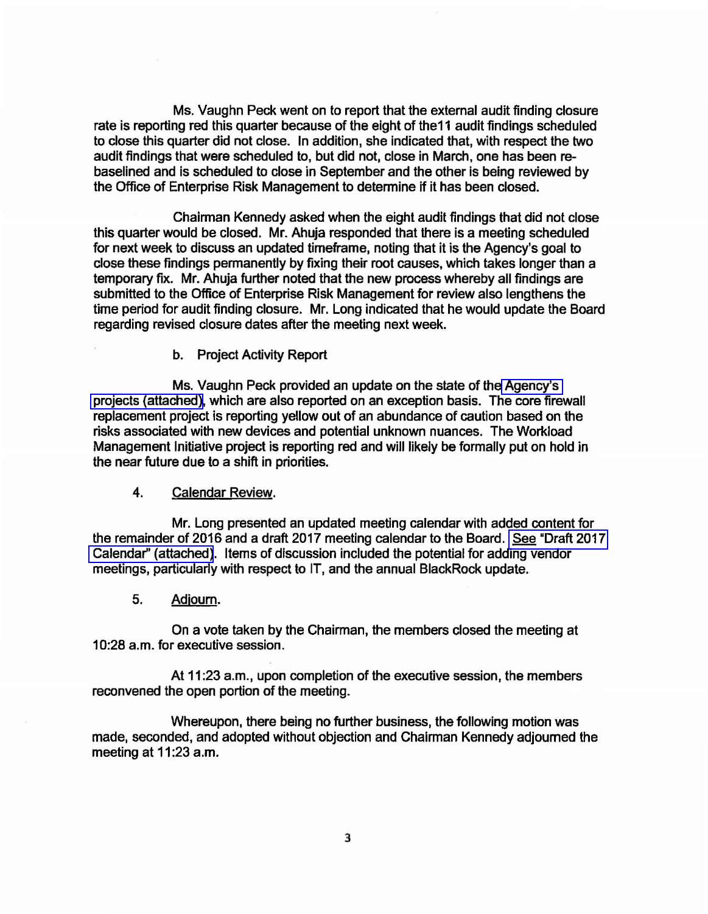Ms. Vaughn Peck went on to report that the external audit finding closure rate is reporting red this quarter because of the eight of the11 audit findings scheduled to close this quarter did not close. In addition, she Indicated that, with respect the two audit findings that were scheduled to, but did not, close in March, one has been rebasellned and is scheduled to close in September and the other is being reviewed by the Office of Enterprise Risk Management to determine if it has been closed.

Chairman Kennedy asked when the eight audit findings that did not close this quarter would be closed. Mr. Ahuja responded that there is a meeting scheduled for next week to discuss an updated timeframe, noting that it is the Agency's goal to close these findings permanently by fixing their root causes, which takes longer than a temporary fix. Mr. Ahuja further noted that the new process whereby all findings are submitted to the Office of Enterprise Risk Management for review also lengthens the time period for audit finding closure. Mr. Long indicated that he would update the Board regarding revised closure dates after the meeting next week.

b. Project Activity Report

Ms. Vaughn Peck provided an update on the state of the [Agency's](https://www.frtib.gov/pdf/minutes/MM-2016Aug-Att4.pdf)  [projects \(attached\),](https://www.frtib.gov/pdf/minutes/MM-2016Aug-Att4.pdf) which are also reported on an exception basis. The core firewall replacement project is reporting yellow out of an abundance of caution based on the risks associated with new devices and potential unknown nuances. The Workload Management Initiative project is reporting red and will likely be formally put on hold in the near future due to a shift in priorities.

### 4. Calendar Review.

Mr. Long presented an updated meeting calendar with added content for the remainder of 2016 and a draft 2017 meeting calendar to the Board. [See "Draft 2017](https://www.frtib.gov/pdf/minutes/MM-2016Aug-Att5.pdf)  [Calendar" \(attached\).](https://www.frtib.gov/pdf/minutes/MM-2016Aug-Att5.pdf) Items of discussion included the potential for adding vendor meetings, particularly with respect to IT, and the annual BlackRock update.

5. Adjourn.

On a vote taken by the Chairman, the members closed the meeting at 10:28 a.m. for executive session.

At 11:23 a.m., upon completion of the executive session, the members reconvened the open portion of the meeting.

Whereupon, there being no further business, the following motion was made, seconded, and adopted without objection and Chairman Kennedy adjourned the meeting at 11:23 a.m.